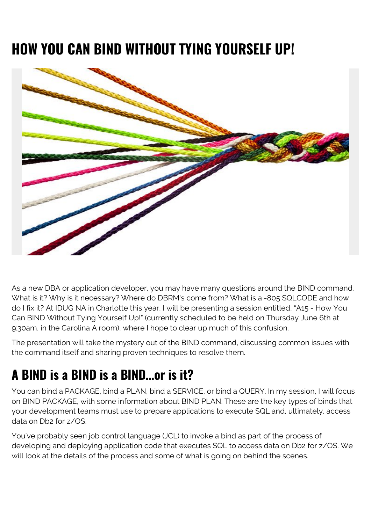# **HOW YOU CAN BIND WITHOUT TYING YOURSELF UP!**



As a new DBA or application developer, you may have many questions around the BIND command. What is it? Why is it necessary? Where do DBRM's come from? What is a -805 SQLCODE and how do I fix it? At IDUG NA in Charlotte this year, I will be presenting a session entitled, "A15 - How You Can BIND Without Tying Yourself Up!" (currently scheduled to be held on Thursday June 6th at 9:30am, in the Carolina A room), where I hope to clear up much of this confusion.

The presentation will take the mystery out of the BIND command, discussing common issues with the command itself and sharing proven techniques to resolve them.

## **A BIND is a BIND is a BIND…or is it?**

You can bind a PACKAGE, bind a PLAN, bind a SERVICE, or bind a QUERY. In my session, I will focus on BIND PACKAGE, with some information about BIND PLAN. These are the key types of binds that your development teams must use to prepare applications to execute SQL and, ultimately, access data on Db2 for z/OS.

You've probably seen job control language (JCL) to invoke a bind as part of the process of developing and deploying application code that executes SQL to access data on Db2 for z/OS. We will look at the details of the process and some of what is going on behind the scenes.